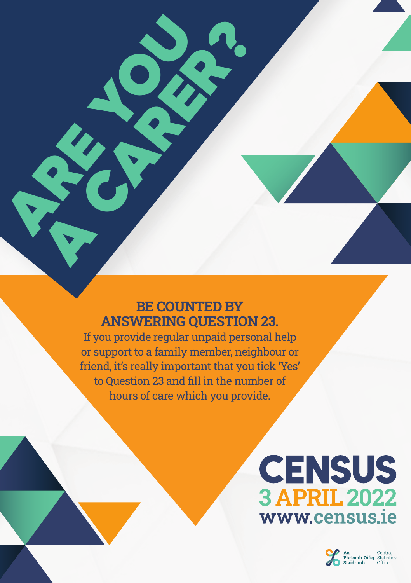### BE COUNTED BY ANSWERING QUESTION 23.

**ARE YOU** 

R CARER?

If you provide regular unpaid personal help or support to a family member, neighbour or friend, it's really important that you tick 'Yes' to Question 23 and fill in the number of hours of care which you provide.

# **CENSUS 3 APRIL 2022** www.census.ie

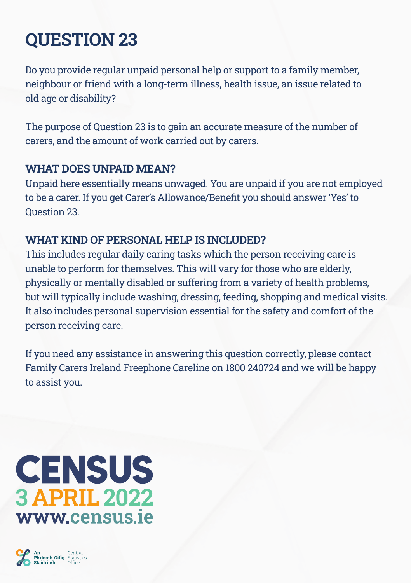## QUESTION 23

Do you provide regular unpaid personal help or support to a family member, neighbour or friend with a long-term illness, health issue, an issue related to old age or disability?

The purpose of Question 23 is to gain an accurate measure of the number of carers, and the amount of work carried out by carers.

#### WHAT DOES UNPAID MEAN?

Unpaid here essentially means unwaged. You are unpaid if you are not employed to be a carer. If you get Carer's Allowance/Benefi t you should answer 'Yes' to Question 23.

#### WHAT KIND OF PERSONAL HELP IS INCLUDED?

This includes regular daily caring tasks which the person receiving care is unable to perform for themselves. This will vary for those who are elderly, physically or mentally disabled or suffering from a variety of health problems, but will typically include washing, dressing, feeding, shopping and medical visits. It also includes personal supervision essential for the safety and comfort of the person receiving care.

If you need any assistance in answering this question correctly, please contact Family Carers Ireland Freephone Careline on 1800 240724 and we will be happy to assist you.

## **CENSUS 3 APRIL 2022** www.census.ie

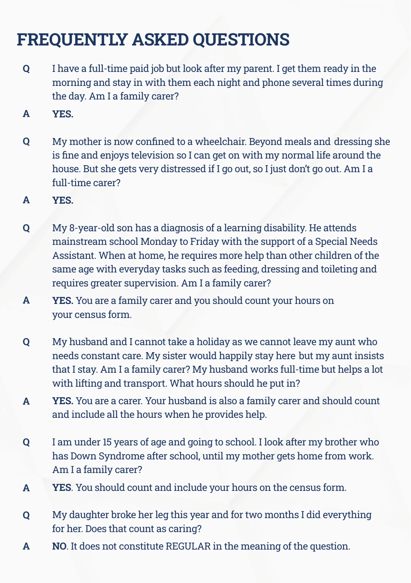### FREQUENTLY ASKED QUESTIONS

- I have a full-time paid job but look after my parent. I get them ready in the morning and stay in with them each night and phone several times during the day. Am I a family carer? Q
- YES. A
- My mother is now confined to a wheelchair. Beyond meals and dressing she is fine and enjoys television so I can get on with my normal life around the house. But she gets very distressed if I go out, so I just don't go out. Am I a full-time carer? Q
- YES. A
- My 8-year-old son has a diagnosis of a learning disability. He attends mainstream school Monday to Friday with the support of a Special Needs Assistant. When at home, he requires more help than other children of the same age with everyday tasks such as feeding, dressing and toileting and requires greater supervision. Am I a family carer? Q
- YES. You are a family carer and you should count your hours on your census form. A
- My husband and I cannot take a holiday as we cannot leave my aunt who needs constant care. My sister would happily stay here but my aunt insists that I stay. Am I a family carer? My husband works full-time but helps a lot with lifting and transport. What hours should he put in? Q
- YES. You are a carer. Your husband is also a family carer and should count and include all the hours when he provides help. A
- I am under 15 years of age and going to school. I look after my brother who has Down Syndrome after school, until my mother gets home from work. Am I a family carer? Q
- YES. You should count and include your hours on the census form. A
- My daughter broke her leg this year and for two months I did everything for her. Does that count as caring? Q
- NO. It does not constitute REGULAR in the meaning of the question. A